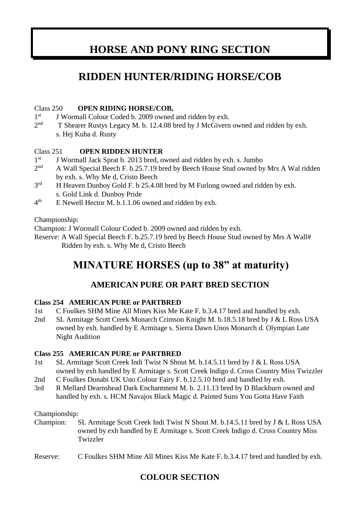## **HORSE AND PONY RING SECTION**

## **RIDDEN HUNTER/RIDING HORSE/COB**

#### Class 250 **OPEN RIDING HORSE/COB,**

- $1<sup>st</sup>$ J Wormall Colour Coded b. 2009 owned and ridden by exh.
- $2<sub>nd</sub>$ T Shearer Rustys Legacy M. b. 12.4.08 bred by J McGivern owned and ridden by exh. s. Hej Kuba d. Rusty

#### Class 251 **OPEN RIDDEN HUNTER**

- $1<sup>st</sup>$ J Wormall Jack Sprat b. 2013 bred, owned and ridden by exh. s. Jumbo
- $2<sup>nd</sup>$ A Wall Special Beech F. b.25.7.19 bred by Beech House Stud owned by Mrs A Wal ridden by exh. s. Why Me d, Cristo Beech
- $3<sup>rd</sup>$ H Heaven Dunboy Gold F. b 25.4.08 bred by M Furlong owned and ridden by exh. s. Gold Link d. Dunboy Pride
- $4<sup>th</sup>$ E Newell Hector M. b.1.1.06 owned and ridden by exh.

Championship:

Champion: J Wormall Colour Coded b. 2009 owned and ridden by exh.

Reserve: A Wall Special Beech F. b.25.7.19 bred by Beech House Stud owned by Mrs A Wall# Ridden by exh. s. Why Me d, Cristo Beech

## **MINATURE HORSES (up to 38" at maturity)**

### **AMERICAN PURE OR PART BRED SECTION**

#### **Class 254 AMERICAN PURE or PARTBRED**

- 1st C Foulkes SHM Mine All Mines Kiss Me Kate F. b.3.4.17 bred and handled by exh.
- 2nd SL Armitage Scott Creek Monarch Crimson Knight M. b.18.5.18 bred by J & L Ross USA owned by exh. handled by E Armitage s. Sierra Dawn Unos Monarch d. Olympian Late Night Audition

#### **Class 255 AMERICAN PURE or PARTBRED**

- 1st SL Armitage Scott Creek Indi Twist N Shout M. b.14.5.11 bred by J & L Ross USA owned by exh handled by E Armitage s. Scott Creek Indigo d. Cross Country Miss Twizzler
- 2nd C Foulkes Donabi UK Uno Colour Fairy F. b.12.5.10 bred and handled by exh.
- 3rd R Mellard Dearnshead Dark Enchantment M. b. 2.11.13 bred by D Blackburn owned and handled by exh. s. HCM Navajos Black Magic d. Painted Suns You Gotta Have Faith

Championship:

Champion: SL Armitage Scott Creek Indi Twist N Shout M. b.14.5.11 bred by J & L Ross USA owned by exh handled by E Armitage s. Scott Creek Indigo d. Cross Country Miss Twizzler

Reserve: C Foulkes SHM Mine All Mines Kiss Me Kate F. b.3.4.17 bred and handled by exh.

### **COLOUR SECTION**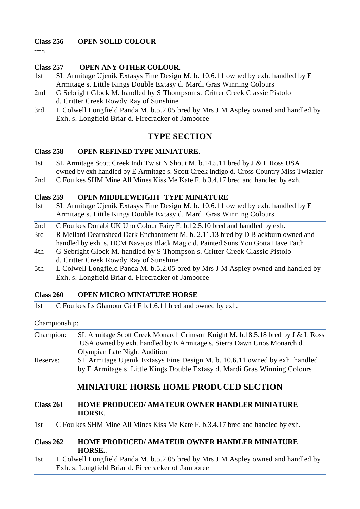#### **Class 256 OPEN SOLID COLOUR**

----.

#### **Class 257 OPEN ANY OTHER COLOUR**.

- 1st SL Armitage Ujenik Extasys Fine Design M. b. 10.6.11 owned by exh. handled by E Armitage s. Little Kings Double Extasy d. Mardi Gras Winning Colours
- 2nd G Sebright Glock M. handled by S Thompson s. Critter Creek Classic Pistolo d. Critter Creek Rowdy Ray of Sunshine
- 3rd L Colwell Longfield Panda M. b.5.2.05 bred by Mrs J M Aspley owned and handled by Exh. s. Longfield Briar d. Firecracker of Jamboree

### **TYPE SECTION**

#### **Class 258 OPEN REFINED TYPE MINIATURE**.

- 1st SL Armitage Scott Creek Indi Twist N Shout M. b.14.5.11 bred by J & L Ross USA owned by exh handled by E Armitage s. Scott Creek Indigo d. Cross Country Miss Twizzler
- 2nd C Foulkes SHM Mine All Mines Kiss Me Kate F. b.3.4.17 bred and handled by exh.

#### **Class 259 OPEN MIDDLEWEIGHT TYPE MINIATURE**

- 1st SL Armitage Ujenik Extasys Fine Design M. b. 10.6.11 owned by exh. handled by E Armitage s. Little Kings Double Extasy d. Mardi Gras Winning Colours
- 2nd C Foulkes Donabi UK Uno Colour Fairy F. b.12.5.10 bred and handled by exh.
- 3rd R Mellard Dearnshead Dark Enchantment M. b. 2.11.13 bred by D Blackburn owned and handled by exh. s. HCM Navajos Black Magic d. Painted Suns You Gotta Have Faith
- 4th G Sebright Glock M. handled by S Thompson s. Critter Creek Classic Pistolo d. Critter Creek Rowdy Ray of Sunshine
- 5th L Colwell Longfield Panda M. b.5.2.05 bred by Mrs J M Aspley owned and handled by Exh. s. Longfield Briar d. Firecracker of Jamboree

#### **Class 260 OPEN MICRO MINIATURE HORSE**

1st C Foulkes Ls Glamour Girl F b.1.6.11 bred and owned by exh.

#### Championship:

| Champion: | SL Armitage Scott Creek Monarch Crimson Knight M. b.18.5.18 bred by J & L Ross |
|-----------|--------------------------------------------------------------------------------|
|           | USA owned by exh. handled by E Armitage s. Sierra Dawn Unos Monarch d.         |
|           | <b>Olympian Late Night Audition</b>                                            |
| Reserve:  | SL Armitage Ujenik Extasys Fine Design M. b. 10.6.11 owned by exh. handled     |
|           | by E Armitage s. Little Kings Double Extasy d. Mardi Gras Winning Colours      |

### **MINIATURE HORSE HOME PRODUCED SECTION**

#### **Class 261 HOME PRODUCED/ AMATEUR OWNER HANDLER MINIATURE HORSE**.

1st C Foulkes SHM Mine All Mines Kiss Me Kate F. b.3.4.17 bred and handled by exh.

#### **Class 262 HOME PRODUCED/ AMATEUR OWNER HANDLER MINIATURE HORSE.**.

1st L Colwell Longfield Panda M. b.5.2.05 bred by Mrs J M Aspley owned and handled by Exh. s. Longfield Briar d. Firecracker of Jamboree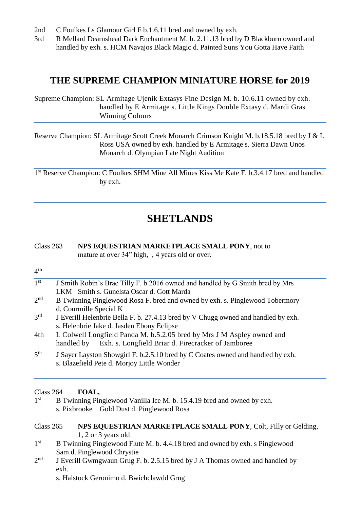- 2nd C Foulkes Ls Glamour Girl F b.1.6.11 bred and owned by exh.
- 3rd R Mellard Dearnshead Dark Enchantment M. b. 2.11.13 bred by D Blackburn owned and handled by exh. s. HCM Navajos Black Magic d. Painted Suns You Gotta Have Faith

### **THE SUPREME CHAMPION MINIATURE HORSE for 2019**

Supreme Champion: SL Armitage Ujenik Extasys Fine Design M. b. 10.6.11 owned by exh. handled by E Armitage s. Little Kings Double Extasy d. Mardi Gras Winning Colours

Reserve Champion: SL Armitage Scott Creek Monarch Crimson Knight M. b.18.5.18 bred by J & L Ross USA owned by exh. handled by E Armitage s. Sierra Dawn Unos Monarch d. Olympian Late Night Audition

1<sup>st</sup> Reserve Champion: C Foulkes SHM Mine All Mines Kiss Me Kate F. b.3.4.17 bred and handled by exh.

### **SHETLANDS**

#### Class 263 **NPS EQUESTRIAN MARKETPLACE SMALL PONY**, not to mature at over 34" high, , 4 years old or over.

#### $4<sup>th</sup>$

| 1 <sup>st</sup>     | J Smith Robin's Brae Tilly F. b.2016 owned and handled by G Smith bred by Mrs     |
|---------------------|-----------------------------------------------------------------------------------|
|                     | LKM Smith s. Gunelsta Oscar d. Gott Marda                                         |
| 2 <sup>nd</sup>     | B Twinning Pinglewood Rosa F. bred and owned by exh. s. Pinglewood Tobermory      |
|                     | d. Courmille Special K                                                            |
| 3 <sup>rd</sup>     | J Everill Helenbrie Bella F. b. 27.4.13 bred by V Chugg owned and handled by exh. |
|                     | s. Helenbrie Jake d. Jasden Ebony Eclipse                                         |
| 4th                 | L Colwell Longfield Panda M. b.5.2.05 bred by Mrs J M Aspley owned and            |
|                     | Exh. s. Longfield Briar d. Firecracker of Jamboree<br>handled by                  |
| $\overline{5^{th}}$ | J Sayer Layston Showgirl F. b.2.5.10 bred by C Coates owned and handled by exh.   |
|                     | s. Blazefield Pete d. Morjoy Little Wonder                                        |

#### Class 264 **FOAL,**

1<sup>st</sup> B Twinning Pinglewood Vanilla Ice M. b. 15.4.19 bred and owned by exh. s. Pixbrooke Gold Dust d. Pinglewood Rosa

#### Class 265 **NPS EQUESTRIAN MARKETPLACE SMALL PONY**, Colt, Filly or Gelding, 1, 2 or 3 years old

- $1<sup>st</sup>$ B Twinning Pinglewood Flute M. b. 4.4.18 bred and owned by exh. s Pinglewood Sam d. Pinglewood Chrystie
- $2<sub>nd</sub>$ J Everill Gwmgwaun Grug F. b. 2.5.15 bred by J A Thomas owned and handled by exh.

s. Halstock Geronimo d. Bwichclawdd Grug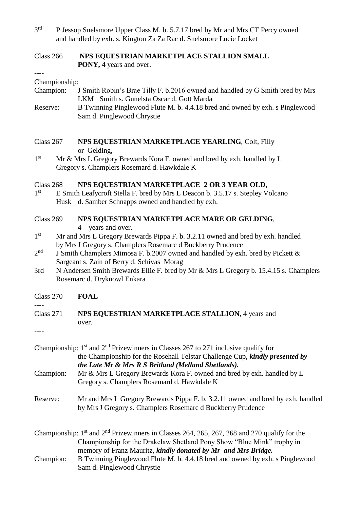- $3<sup>rd</sup>$ P Jessop Snelsmore Upper Class M. b. 5.7.17 bred by Mr and Mrs CT Percy owned and handled by exh. s. Kington Za Za Rac d. Snelsmore Lucie Locket
- Class 266 **NPS EQUESTRIAN MARKETPLACE STALLION SMALL PONY,** 4 years and over.

#### Championship:

----

- Champion: J Smith Robin's Brae Tilly F. b.2016 owned and handled by G Smith bred by Mrs LKM Smith s. Gunelsta Oscar d. Gott Marda
- Reserve: B Twinning Pinglewood Flute M. b. 4.4.18 bred and owned by exh. s Pinglewood Sam d. Pinglewood Chrystie
- Class 267 **NPS EQUESTRIAN MARKETPLACE YEARLING**, Colt, Filly or Gelding,
- $1<sup>st</sup>$ Mr & Mrs L Gregory Brewards Kora F. owned and bred by exh. handled by L Gregory s. Champlers Rosemard d. Hawkdale K

#### Class 268 **NPS EQUESTRIAN MARKETPLACE 2 OR 3 YEAR OLD**,

 $1<sup>st</sup>$ E Smith Leafycroft Stella F. bred by Mrs L Deacon b. 3.5.17 s. Stepley Volcano Husk d. Samber Schnapps owned and handled by exh.

#### Class 269 **NPS EQUESTRIAN MARKETPLACE MARE OR GELDING**,

- 4 years and over.
- $1<sup>st</sup>$ Mr and Mrs L Gregory Brewards Pippa F. b. 3.2.11 owned and bred by exh. handled by MrsJ Gregory s. Champlers Rosemarc d Buckberry Prudence
- $2<sup>nd</sup>$ J Smith Champlers Mimosa F. b.2007 owned and handled by exh. bred by Pickett  $&$ Sargeant s. Zain of Berry d. Schivas Morag
- 3rd N Andersen Smith Brewards Ellie F. bred by Mr & Mrs L Gregory b. 15.4.15 s. Champlers Rosemarc d. Dryknowl Enkara
- Class 270 **FOAL**

#### Class 271 **NPS EQUESTRIAN MARKETPLACE STALLION**, 4 years and over.

----

|           | Championship: $1st$ and $2nd$ Prizewinners in Classes 267 to 271 inclusive qualify for                                                         |
|-----------|------------------------------------------------------------------------------------------------------------------------------------------------|
|           | the Championship for the Rosehall Telstar Challenge Cup, <i>kindly presented by</i>                                                            |
|           | the Late Mr & Mrs R S Britland (Melland Shetlands).                                                                                            |
| Champion: | Mr & Mrs L Gregory Brewards Kora F. owned and bred by exh. handled by L                                                                        |
|           | Gregory s. Champlers Rosemard d. Hawkdale K                                                                                                    |
| Reserve:  | Mr and Mrs L Gregory Brewards Pippa F. b. 3.2.11 owned and bred by exh. handled<br>by Mrs J Gregory s. Champlers Rosemarc d Buckberry Prudence |
|           | Championship: $1st$ and $2nd$ Prizewinners in Classes 264, 265, 267, 268 and 270 qualify for the                                               |
|           | Championship for the Drakelaw Shetland Pony Show "Blue Mink" trophy in                                                                         |
|           | memory of Franz Mauritz, kindly donated by Mr and Mrs Bridge.                                                                                  |

Champion: B Twinning Pinglewood Flute M. b. 4.4.18 bred and owned by exh. s Pinglewood Sam d. Pinglewood Chrystie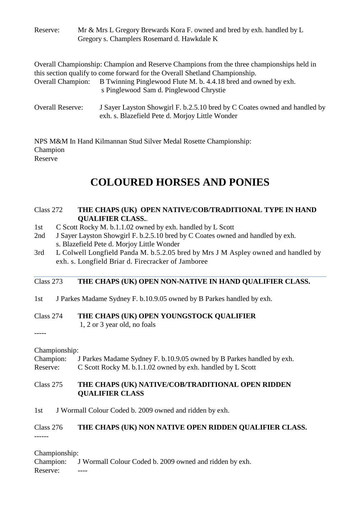| Reserve:                 | Mr & Mrs L Gregory Brewards Kora F. owned and bred by exh. handled by L<br>Gregory s. Champlers Rosemard d. Hawkdale K                                                                                                                      |
|--------------------------|---------------------------------------------------------------------------------------------------------------------------------------------------------------------------------------------------------------------------------------------|
| <b>Overall Champion:</b> | Overall Championship: Champion and Reserve Champions from the three championships held in<br>this section qualify to come forward for the Overall Shetland Championship.<br>B Twinning Pinglewood Flute M. b. 4.4.18 bred and owned by exh. |
| <b>Overall Reserve:</b>  | s Pinglewood Sam d. Pinglewood Chrystie<br>J Sayer Layston Showgirl F. b.2.5.10 bred by C Coates owned and handled by                                                                                                                       |

NPS M&M In Hand Kilmannan Stud Silver Medal Rosette Championship: Champion

exh. s. Blazefield Pete d. Morjoy Little Wonder

Reserve

## **COLOURED HORSES AND PONIES**

#### Class 272 **THE CHAPS (UK) OPEN NATIVE/COB/TRADITIONAL TYPE IN HAND QUALIFIER CLASS.**.

- 1st C Scott Rocky M. b.1.1.02 owned by exh. handled by L Scott
- 2nd J Sayer Layston Showgirl F. b.2.5.10 bred by C Coates owned and handled by exh. s. Blazefield Pete d. Morjoy Little Wonder
- 3rd L Colwell Longfield Panda M. b.5.2.05 bred by Mrs J M Aspley owned and handled by exh. s. Longfield Briar d. Firecracker of Jamboree

#### Class 273 **THE CHAPS (UK) OPEN NON-NATIVE IN HAND QUALIFIER CLASS.**

1st J Parkes Madame Sydney F. b.10.9.05 owned by B Parkes handled by exh.

Class 274 **THE CHAPS (UK) OPEN YOUNGSTOCK QUALIFIER** 1, 2 or 3 year old, no foals

Championship:

-----

Champion: J Parkes Madame Sydney F. b.10.9.05 owned by B Parkes handled by exh. Reserve: C Scott Rocky M. b.1.1.02 owned by exh. handled by L Scott

#### Class 275 **THE CHAPS (UK) NATIVE/COB/TRADITIONAL OPEN RIDDEN QUALIFIER CLASS**

1st J Wormall Colour Coded b. 2009 owned and ridden by exh.

### Class 276 **THE CHAPS (UK) NON NATIVE OPEN RIDDEN QUALIFIER CLASS.**

Championship:

------

Champion: J Wormall Colour Coded b. 2009 owned and ridden by exh.

Reserve: ----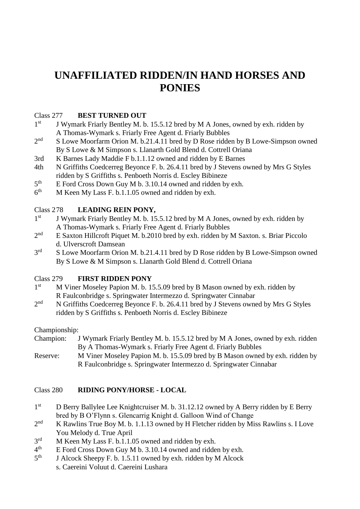## **UNAFFILIATED RIDDEN/IN HAND HORSES AND PONIES**

#### Class 277 **BEST TURNED OUT**

- $1<sup>st</sup>$ J Wymark Friarly Bentley M. b. 15.5.12 bred by M A Jones, owned by exh. ridden by A Thomas-Wymark s. Friarly Free Agent d. Friarly Bubbles
- $2<sup>nd</sup>$ S Lowe Moorfarm Orion M. b.21.4.11 bred by D Rose ridden by B Lowe-Simpson owned By S Lowe & M Simpson s. Llanarth Gold Blend d. Cottrell Oriana
- 3rd K Barnes Lady Maddie F b.1.1.12 owned and ridden by E Barnes
- 4th N Griffiths Coedcerreg Beyonce F. b. 26.4.11 bred by J Stevens owned by Mrs G Styles ridden by S Griffiths s. Penboeth Norris d. Escley Bibineze
- $5<sup>th</sup>$ E Ford Cross Down Guy M b. 3.10.14 owned and ridden by exh.
- $6<sup>th</sup>$ M Keen My Lass F. b.1.1.05 owned and ridden by exh.

#### Class 278 **LEADING REIN PONY,**

- $1<sup>st</sup>$ J Wymark Friarly Bentley M. b. 15.5.12 bred by M A Jones, owned by exh. ridden by A Thomas-Wymark s. Friarly Free Agent d. Friarly Bubbles
- $2<sup>nd</sup>$ E Saxton Hillcroft Piquet M. b.2010 bred by exh. ridden by M Saxton. s. Briar Piccolo d. Ulverscroft Damsean
- 3rd S Lowe Moorfarm Orion M. b.21.4.11 bred by D Rose ridden by B Lowe-Simpson owned By S Lowe & M Simpson s. Llanarth Gold Blend d. Cottrell Oriana

#### Class 279 **FIRST RIDDEN PONY**

- $1<sup>st</sup>$ M Viner Moseley Papion M. b. 15.5.09 bred by B Mason owned by exh. ridden by R Faulconbridge s. Springwater Intermezzo d. Springwater Cinnabar
- $2<sub>nd</sub>$ N Griffiths Coedcerreg Beyonce F. b. 26.4.11 bred by J Stevens owned by Mrs G Styles ridden by S Griffiths s. Penboeth Norris d. Escley Bibineze

#### Championship:

- Champion: J Wymark Friarly Bentley M. b. 15.5.12 bred by M A Jones, owned by exh. ridden By A Thomas-Wymark s. Friarly Free Agent d. Friarly Bubbles
- Reserve: M Viner Moseley Papion M. b. 15.5.09 bred by B Mason owned by exh. ridden by R Faulconbridge s. Springwater Intermezzo d. Springwater Cinnabar

#### Class 280 **RIDING PONY/HORSE - LOCAL**

- $1<sup>st</sup>$ D Berry Ballylee Lee Knightcruiser M. b. 31.12.12 owned by A Berry ridden by E Berry bred by B O'Flynn s. Glencarrig Knight d. Galloon Wind of Change
- $2<sup>nd</sup>$ K Rawlins True Boy M. b. 1.1.13 owned by H Fletcher ridden by Miss Rawlins s. I Love You Melody d. True April
- $3<sup>rd</sup>$  $M$  Keen My Lass F. b.1.1.05 owned and ridden by exh.
- $4<sup>th</sup>$ E Ford Cross Down Guy M b. 3.10.14 owned and ridden by exh.
- $5<sup>th</sup>$ J Alcock Sheepy F. b. 1.5.11 owned by exh. ridden by M Alcock s. Caereini Voluut d. Caereini Lushara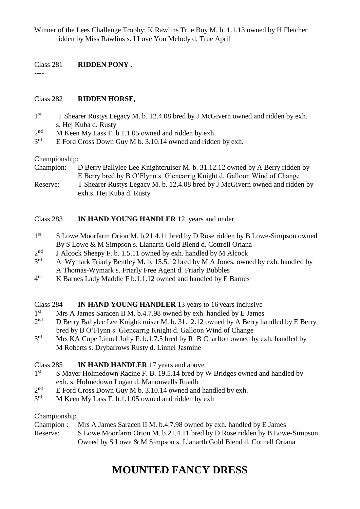Winner of the Lees Challenge Trophy: K Rawlins True Boy M. b. 1.1.13 owned by H Fletcher ridden by Miss Rawlins s. I Love You Melody d. True April

#### Class 281 **RIDDEN PONY** .

#### Class 282 **RIDDEN HORSE,**

- $1<sup>st</sup>$ T Shearer Rustys Legacy M. b. 12.4.08 bred by J McGivern owned and ridden by exh. s. Hej Kuba d. Rusty
- $2<sub>nd</sub>$ M Keen My Lass F. b.1.1.05 owned and ridden by exh.
- $3<sup>rd</sup>$ E Ford Cross Down Guy M b. 3.10.14 owned and ridden by exh.

#### Championship:

----

Champion: D Berry Ballylee Lee Knightcruiser M. b. 31.12.12 owned by A Berry ridden by E Berry bred by B O'Flynn s. Glencarrig Knight d. Galloon Wind of Change Reserve: T Shearer Rustys Legacy M. b. 12.4.08 bred by J McGivern owned and ridden by exh.s. Hej Kuba d. Rusty

#### Class 283 **IN HAND YOUNG HANDLER** 12 years and under

- $1<sup>st</sup>$ S Lowe Moorfarm Orion M. b.21.4.11 bred by D Rose ridden by B Lowe-Simpson owned By S Lowe & M Simpson s. Llanarth Gold Blend d. Cottrell Oriana
- $2<sub>nd</sub>$ J Alcock Sheepy F. b. 1.5.11 owned by exh. handled by M Alcock
- 3<sup>rd</sup> A Wymark Friarly Bentley M. b. 15.5.12 bred by M A Jones, owned by exh. handled by A Thomas-Wymark s. Friarly Free Agent d. Friarly Bubbles
- $4<sup>th</sup>$ K Barnes Lady Maddie F b.1.1.12 owned and handled by E Barnes

#### Class 284 **IN HAND YOUNG HANDLER** 13 years to 16 years inclusive

- $1<sup>st</sup>$ Mrs A James Saracen II M. b.4.7.98 owned by exh. handled by E James
- $2<sup>nd</sup>$ D Berry Ballylee Lee Knightcruiser M. b. 31.12.12 owned by A Berry handled by E Berry bred by B O'Flynn s. Glencarrig Knight d. Galloon Wind of Change
- 3<sup>rd</sup> Mrs KA Cope Linnel Jolly F. b.1.7.5 bred by R B Charlton owned by exh. handled by M Roberts s. Drybarrows Rusty d. Linnel Jasmine

#### Class 285 **IN HAND HANDLER** 17 years and above

- $1<sup>st</sup>$ S Mayer Holmedown Racine F. B. 19.5.14 bred by W Bridges owned and handled by exh. s. Holmedown Logan d. Manonwells Ruadh
- $2<sub>nd</sub>$ E Ford Cross Down Guy M b. 3.10.14 owned and handled by exh.
- $3<sup>rd</sup>$ M Keen My Lass F. b.1.1.05 owned and ridden by exh

#### Championship

Champion : Mrs A James Saracen II M. b.4.7.98 owned by exh. handled by E James Reserve: S Lowe Moorfarm Orion M. b.21.4.11 bred by D Rose ridden by B Lowe-Simpson Owned by S Lowe & M Simpson s. Llanarth Gold Blend d. Cottrell Oriana

## **MOUNTED FANCY DRESS**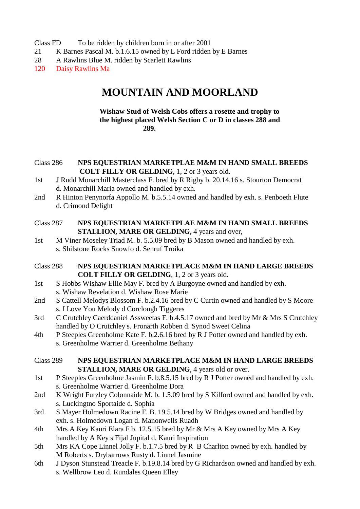- Class FD To be ridden by children born in or after 2001
- 21 K Barnes Pascal M. b.1.6.15 owned by L Ford ridden by E Barnes
- 28 A Rawlins Blue M. ridden by Scarlett Rawlins
- 120 Daisy Rawlins Ma

### **MOUNTAIN AND MOORLAND**

#### **Wishaw Stud of Welsh Cobs offers a rosette and trophy to the highest placed Welsh Section C or D in classes 288 and 289.**

#### Class 286 **NPS EQUESTRIAN MARKETPLAE M&M IN HAND SMALL BREEDS COLT FILLY OR GELDING**, 1, 2 or 3 years old.

- 1st J Rudd Monarchill Masterclass F. bred by R Rigby b. 20.14.16 s. Stourton Democrat d. Monarchill Maria owned and handled by exh.
- 2nd R Hinton Penynorfa Appollo M. b.5.5.14 owned and handled by exh. s. Penboeth Flute d. Crimond Delight
- Class 287 **NPS EQUESTRIAN MARKETPLAE M&M IN HAND SMALL BREEDS STALLION, MARE OR GELDING,** 4 years and over,
- 1st M Viner Moseley Triad M. b. 5.5.09 bred by B Mason owned and handled by exh. s. Shilstone Rocks Snowfo d. Senruf Troika
- Class 288 **NPS EQUESTRIAN MARKETPLACE M&M IN HAND LARGE BREEDS COLT FILLY OR GELDING**, 1, 2 or 3 years old.
- 1st S Hobbs Wishaw Ellie May F. bred by A Burgoyne owned and handled by exh. s. Wishaw Revelation d. Wishaw Rose Marie
- 2nd S Cattell Melodys Blossom F. b.2.4.16 bred by C Curtin owned and handled by S Moore s. I Love You Melody d Corclough Tiggeres
- 3rd C Crutchley Caerddaniel Assweetas F. b.4.5.17 owned and bred by Mr & Mrs S Crutchley handled by O Crutchley s. Fronarth Robben d. Synod Sweet Celina
- 4th P Steeples Greenholme Kate F. b.2.6.16 bred by R J Potter owned and handled by exh. s. Greenholme Warrier d. Greenholme Bethany
- Class 289 **NPS EQUESTRIAN MARKETPLACE M&M IN HAND LARGE BREEDS STALLION, MARE OR GELDING, 4 years old or over.**
- 1st P Steeples Greenholme Jasmin F. b.8.5.15 bred by R J Potter owned and handled by exh. s. Greenholme Warrier d. Greenholme Dora
- 2nd K Wright Furzley Colonnaide M. b. 1.5.09 bred by S Kilford owned and handled by exh. s. Luckingtno Sportaide d. Sophia
- 3rd S Mayer Holmedown Racine F. B. 19.5.14 bred by W Bridges owned and handled by exh. s. Holmedown Logan d. Manonwells Ruadh
- 4th Mrs A Key Kauri Elara F b. 12.5.15 bred by Mr & Mrs A Key owned by Mrs A Key handled by A Key s Fijal Jupital d. Kauri Inspiration
- 5th Mrs KA Cope Linnel Jolly F. b.1.7.5 bred by R B Charlton owned by exh. handled by M Roberts s. Drybarrows Rusty d. Linnel Jasmine
- 6th J Dyson Stunstead Treacle F. b.19.8.14 bred by G Richardson owned and handled by exh. s. Wellbrow Leo d. Rundales Queen Elley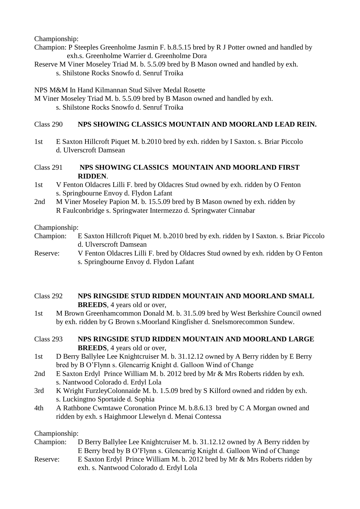Championship:

- Champion: P Steeples Greenholme Jasmin F. b.8.5.15 bred by R J Potter owned and handled by exh.s. Greenholme Warrier d. Greenholme Dora
- Reserve M Viner Moseley Triad M. b. 5.5.09 bred by B Mason owned and handled by exh. s. Shilstone Rocks Snowfo d. Senruf Troika

NPS M&M In Hand Kilmannan Stud Silver Medal Rosette

M Viner Moseley Triad M. b. 5.5.09 bred by B Mason owned and handled by exh. s. Shilstone Rocks Snowfo d. Senruf Troika

#### Class 290 **NPS SHOWING CLASSICS MOUNTAIN AND MOORLAND LEAD REIN.**

1st E Saxton Hillcroft Piquet M. b.2010 bred by exh. ridden by I Saxton. s. Briar Piccolo d. Ulverscroft Damsean

#### Class 291 **NPS SHOWING CLASSICS MOUNTAIN AND MOORLAND FIRST RIDDEN**.

- 1st V Fenton Oldacres Lilli F. bred by Oldacres Stud owned by exh. ridden by O Fenton s. Springbourne Envoy d. Flydon Lafant
- 2nd M Viner Moseley Papion M. b. 15.5.09 bred by B Mason owned by exh. ridden by R Faulconbridge s. Springwater Intermezzo d. Springwater Cinnabar

#### Championship:

- Champion: E Saxton Hillcroft Piquet M. b.2010 bred by exh. ridden by I Saxton. s. Briar Piccolo d. Ulverscroft Damsean
- Reserve: V Fenton Oldacres Lilli F. bred by Oldacres Stud owned by exh. ridden by O Fenton s. Springbourne Envoy d. Flydon Lafant
- Class 292 **NPS RINGSIDE STUD RIDDEN MOUNTAIN AND MOORLAND SMALL BREEDS**, 4 years old or over,
- 1st M Brown Greenhamcommon Donald M. b. 31.5.09 bred by West Berkshire Council owned by exh. ridden by G Brown s.Moorland Kingfisher d. Snelsmorecommon Sundew.

#### Class 293 **NPS RINGSIDE STUD RIDDEN MOUNTAIN AND MOORLAND LARGE BREEDS**, 4 years old or over,

- 1st D Berry Ballylee Lee Knightcruiser M. b. 31.12.12 owned by A Berry ridden by E Berry bred by B O'Flynn s. Glencarrig Knight d. Galloon Wind of Change
- 2nd E Saxton Erdyl Prince William M. b. 2012 bred by Mr & Mrs Roberts ridden by exh. s. Nantwood Colorado d. Erdyl Lola
- 3rd K Wright FurzleyColonnaide M. b. 1.5.09 bred by S Kilford owned and ridden by exh. s. Luckingtno Sportaide d. Sophia
- 4th A Rathbone Cwmtawe Coronation Prince M. b.8.6.13 bred by C A Morgan owned and ridden by exh. s Haighmoor Llewelyn d. Menai Contessa

#### Championship:

| Champion: | D Berry Ballylee Lee Knightcruiser M. b. 31.12.12 owned by A Berry ridden by |
|-----------|------------------------------------------------------------------------------|
|           | E Berry bred by B O'Flynn s. Glencarrig Knight d. Galloon Wind of Change     |
| Reserve:  | E Saxton Erdyl Prince William M. b. 2012 bred by Mr & Mrs Roberts ridden by  |
|           | exh. s. Nantwood Colorado d. Erdyl Lola                                      |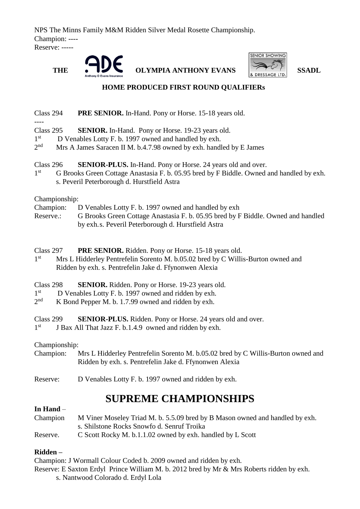NPS The Minns Family M&M Ridden Silver Medal Rosette Championship. Champion: ---- Reserve: -----





#### **HOME PRODUCED FIRST ROUND QUALIFIERs**

Class 294 **PRE SENIOR.** In-Hand. Pony or Horse. 15-18 years old.

- Class 295 **SENIOR.** In-Hand. Pony or Horse. 19-23 years old.
- 1 st D Venables Lotty F. b. 1997 owned and handled by exh.
- $2<sup>nd</sup>$ Mrs A James Saracen II M. b.4.7.98 owned by exh. handled by E James

### Class 296 **SENIOR-PLUS.** In-Hand. Pony or Horse. 24 years old and over.

 $1<sup>st</sup>$ G Brooks Green Cottage Anastasia F. b. 05.95 bred by F Biddle. Owned and handled by exh. s. Peveril Peterborough d. Hurstfield Astra

Championship:

- Champion: D Venables Lotty F. b. 1997 owned and handled by exh
- Reserve.: G Brooks Green Cottage Anastasia F. b. 05.95 bred by F Biddle. Owned and handled by exh.s. Peveril Peterborough d. Hurstfield Astra
- Class 297 **PRE SENIOR.** Ridden. Pony or Horse. 15-18 years old.
- $1<sup>st</sup>$ Mrs L Hidderley Pentrefelin Sorento M. b.05.02 bred by C Willis-Burton owned and Ridden by exh. s. Pentrefelin Jake d. Ffynonwen Alexia
- Class 298 **SENIOR.** Ridden. Pony or Horse. 19-23 years old.
- 1 st D Venables Lotty F. b. 1997 owned and ridden by exh.
- $2<sub>nd</sub>$  $K$  Bond Pepper M. b. 1.7.99 owned and ridden by exh.
- Class 299 **SENIOR-PLUS.** Ridden. Pony or Horse. 24 years old and over.
- $1<sup>st</sup>$ J Bax All That Jazz F. b.1.4.9 owned and ridden by exh.

#### Championship:

- Champion: Mrs L Hidderley Pentrefelin Sorento M. b.05.02 bred by C Willis-Burton owned and Ridden by exh. s. Pentrefelin Jake d. Ffynonwen Alexia
- Reserve: D Venables Lotty F. b. 1997 owned and ridden by exh.

## **SUPREME CHAMPIONSHIPS**

#### **In Hand** –

Champion M Viner Moseley Triad M. b. 5.5.09 bred by B Mason owned and handled by exh. s. Shilstone Rocks Snowfo d. Senruf Troika

Reserve. C Scott Rocky M. b.1.1.02 owned by exh. handled by L Scott

#### **Ridden –**

Champion: J Wormall Colour Coded b. 2009 owned and ridden by exh.

Reserve: E Saxton Erdyl Prince William M. b. 2012 bred by Mr & Mrs Roberts ridden by exh.

s. Nantwood Colorado d. Erdyl Lola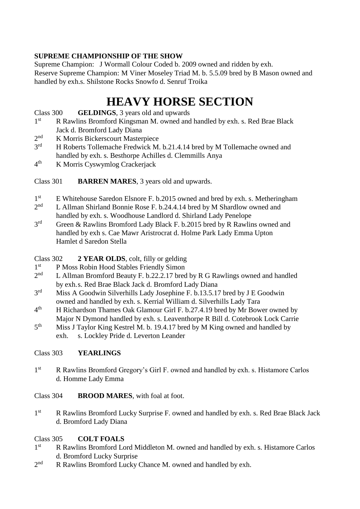### **SUPREME CHAMPIONSHIP OF THE SHOW**

Supreme Champion: J Wormall Colour Coded b. 2009 owned and ridden by exh. Reserve Supreme Champion: M Viner Moseley Triad M. b. 5.5.09 bred by B Mason owned and handled by exh.s. Shilstone Rocks Snowfo d. Senruf Troika

## **HEAVY HORSE SECTION**

#### Class 300 **GELDINGS**, 3 years old and upwards

- $1<sup>st</sup>$ R Rawlins Bromford Kingsman M. owned and handled by exh. s. Red Brae Black Jack d. Bromford Lady Diana
- $2<sup>nd</sup>$ K Morris Bickerscourt Masterpiece
- 3<sup>rd</sup> H Roberts Tollemache Fredwick M. b.21.4.14 bred by M Tollemache owned and handled by exh. s. Besthorpe Achilles d. Clemmills Anya
- $4<sup>th</sup>$ K Morris Cyswymlog Crackerjack

#### Class 301 **BARREN MARES**, 3 years old and upwards.

- 1<sup>st</sup> E Whitehouse Saredon Elsnore F. b.2015 owned and bred by exh. s. Metheringham
- $2<sub>nd</sub>$ L Allman Shirland Bonnie Rose F. b.24.4.14 bred by M Shardlow owned and handled by exh. s. Woodhouse Landlord d. Shirland Lady Penelope
- $2rd$ Green & Rawlins Bromford Lady Black F. b.2015 bred by R Rawlins owned and handled by exh s. Cae Mawr Aristrocrat d. Holme Park Lady Emma Upton Hamlet d Saredon Stella

#### Class 302 **2 YEAR OLDS**, colt, filly or gelding

- $1<sup>st</sup>$ P Moss Robin Hood Stables Friendly Simon
- $2<sub>nd</sub>$ L Allman Bromford Beauty F. b.22.2.17 bred by R G Rawlings owned and handled by exh.s. Red Brae Black Jack d. Bromford Lady Diana
- $3<sup>rd</sup>$ Miss A Goodwin Silverhills Lady Josephine F. b.13.5.17 bred by J E Goodwin owned and handled by exh. s. Kerrial William d. Silverhills Lady Tara
- $4<sup>th</sup>$ th H Richardson Thames Oak Glamour Girl F. b.27.4.19 bred by Mr Bower owned by Major N Dymond handled by exh. s. Leaventhorpe R Bill d. Cotebrook Lock Carrie
- $5<sup>th</sup>$ Miss J Taylor King Kestrel M. b. 19.4.17 bred by M King owned and handled by exh. s. Lockley Pride d. Leverton Leander

#### Class 303 **YEARLINGS**

1<sup>st</sup> R Rawlins Bromford Gregory's Girl F. owned and handled by exh. s. Histamore Carlos d. Homme Lady Emma

#### Class 304 **BROOD MARES**, with foal at foot.

 $1<sup>st</sup>$ R Rawlins Bromford Lucky Surprise F. owned and handled by exh. s. Red Brae Black Jack d. Bromford Lady Diana

#### Class 305 **COLT FOALS**

- $1<sup>st</sup>$ R Rawlins Bromford Lord Middleton M. owned and handled by exh. s. Histamore Carlos d. Bromford Lucky Surprise
- $2<sub>nd</sub>$ R Rawlins Bromford Lucky Chance M. owned and handled by exh.